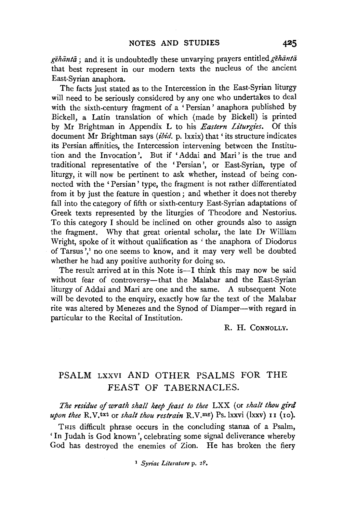gehanta; and it is undoubtedly these unvarying prayers entitled gehanta that best represent in our modern texts the nucleus of the ancient East-Syrian anaphora.

The facts just stated as to the Intercession in the East-Syrian liturgy will need to be seriously considered by any one who undertakes to deal with the sixth-century fragment of a 'Persian' anaphora published by Bickell, a Latin translation of which (made by Bickell) is printed by Mr Brightman in Appendix L to his *Eastern Liturgies.* Of this document Mr Brightman says *(ibid.* p. lxxix) that ' its structure indicates its Persian affinities, the Intercession intervening between the Institution and the Invocation'. But if 'Addai and Mari' is the true and traditional representative of the 'Persian', or East-Syrian, type of liturgy, it will now be pertinent to ask whether, instead of being connected with the ' Persian' type, the fragment is not rather differentiated from it by just the feature in question; and whether it does not thereby fall into the category of fifth or sixth-century East-Syrian adaptations of Greek texts represented by the liturgies of Theodore and Nestorius. To this category I should be inclined on other grounds also to assign the fragment. Why that great oriental scholar, the late Dr William Wright, spoke of it without qualification as 'the anaphora of Diodorus of Tarsus',<sup>1</sup> no one seems to know, and it may very well be doubted whether he had any positive authority for doing so.

The result arrived at in this Note is—I think this may now be said without fear of controversy-that the Malabar and the East-Syrian liturgy of Addai and Mari are one and the same. A subsequent Note will be devoted to the enquiry, exactly how far the text of the Malabar rite was altered by Menezes and the Synod of Diamper-with regard in particular to the Recital of Institution.

R. H. CoNNOLLY.

## PSALM LXXVI AND OTHER PSALMS FOR THE FEAST OF TABERNACLES.

*The residue of wrath shall keep feast to thee* LXX (or *shalt thou gird upon thee* R.V.txt or *shalt thou restrain* R.V.mg) Ps.lxxvi (lxxv) II (10).

THIS difficult phrase occurs in the concluding stanza of a Psalm, 'In Judah is God known', celebrating some signal deliverance whereby God has destroyed the enemies of Zion. He has broken the fiery

<sup>1</sup> *Syn'ac Literature* p. 2F.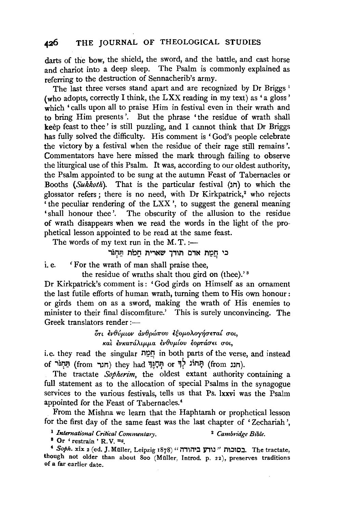## 426 THE JOURNAL OF THEOLOGICAL STUDIES

darts of the bow, the shield, the sword, and the battle, and cast horse and chariot into a deep sleep. The Psalm is commonly explained as referring to the destruction of Sennacherib's army.

The last three verses stand apart and are recognized by Dr Briggs<sup>1</sup> (who adopts, correctly I think, the LXX reading in my text) as 'a gloss' which 'calls upon all to praise Him in festival even in their wrath and to bring Him presents'. But the phrase 'the residue of wrath shall keep feast to thee' is still puzzling, and I cannot think that Dr Briggs has fully solved the difficulty. His comment is 'God's people celebrate the victory by a festival when the residue of their rage still remains '. Commentators have here missed the mark through failing to observe the liturgical use of this Psalm. It was, according to our oldest authority, the Psalm appointed to be sung at the autumn Feast of Tabernacles or Booths *(Sukkoth)*. That is the particular festival (תוב) to which the glossator refers ; there is no need, with Dr Kirkpatrick,<sup>2</sup> who rejects 'the peculiar rendering of the LXX', to suggest the general meaning 'shall honour thee'. The obscurity of the allusion to the residue of wrath disappears when we read the words in the light of the prophetical lesson appointed to be read at the same feast.

The words of my text run in the  $M$ . T. :-

## בי חַמַת אדם תודך שארית חָמֹת תַּחְגֹּר

i.e. 'For the wrath of man shall praise thee,

the residue of wraths shalt thou gird on (thee).'<sup>8</sup>

Dr Kirkpatrick's comment is : 'God girds on Himself as an ornament the last futile efforts of human wrath, turning them to His own honour : or girds them on as a sword, making the wrath of His enemies to minister to their final discomfiture.' This is surely unconvincing. The Greek translators render :-

> $\delta$ τι ενθύμιον ανθρώπου εξομολογήσεται σοι, και ενκατάλιμμα ενθυμίου εορτάσει σοι,

i.e. they read the singular n~,?!:) in both parts of the verse, and instead of יַתְּחוֹג (from 'חֲחוֹג לִדְּ or תְּחָנֵּךְ (from 'חונה).

The tractate *Sopherim,* the oldest extant authority containing a full statement as to the allocation of special Psalms in the synagogue services to the various festivals, tells us that Ps. lxxvi was the Psalm appointed for the Feast of Tabernacles. <sup>4</sup>

From the Mishna we learn that the Haphtarah or prophetical lesson for the first day of the same feast was the last chapter of 'Zechariah ',

<sup>1</sup> International Critical Commentary. <sup>2</sup> Cambridge Bible.

8 Or ' restrain ' R. V. mg.

<sup>4</sup>Soph. xix 2 (ed. *].* Muller, Leipzig 1878) "i'1,'i'1':ll)"m" m:JlC:J. The tractate, though not older than about 800 (Müller, Introd. p. 22), preserves traditions of a far earlier date.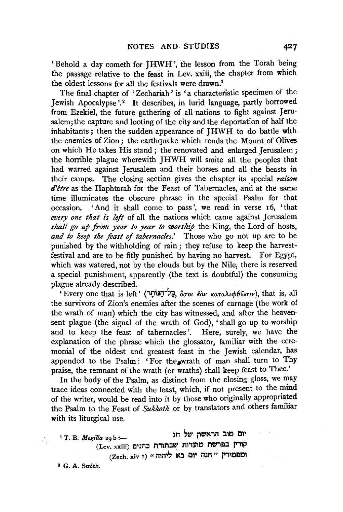~Behold a day cometh for JHWH ', the lesson from the Torah being the passage relative to the feast in Lev. xxiii, the chapter from which the oldest lessons for all the festivals were drawn.<sup>1</sup>

The final chapter of 'Zechariah' is 'a characteristic specimen of the Jewish Apocalypse'.<sup>2</sup> It describes, in lurid language, partly borrowed from Ezekiel, the future gathering of all nations to fight against Jerusalem; the capture and looting of the city and the deportation of half the inhabitants ; then the sudden appearance of JHWH to do battle with the enemies of Zion; the earthquake which rends the Mount of Olives on which He takes His stand ; the renovated and enlarged Jerusalem ; the horrible plague wherewith JHWH will smite all the peoples that had warred against Jerusalem and their horses and all the beasts in their camps. The closing section gives the chapter its special *raison*   $d^2$ être as the Haphtarah for the Feast of Tabernacles, and at the same time illuminates the obscure phrase in the special Psalm for that occasion. 'And it shall come to pass', we read in verse r6, 'that *every one that is left* of all the nations which came against Jerusalem *shall go up from year to year to worship* the King, the Lord of hosts, *and to keep the feast of tabernacles.'* Those who go not up are to be punished by the withholding of rain ; they refuse to keep the harvestfestival and are to be fitly punished by having no harvest. For Egypt, which was watered, not by the clouds but by the Nile, there is reserved a special punishment, apparently (the text is doubtful) the consuming plague already described. .

'Every one that is left' ("l..i~;T';tf, *ocrot* ~av *KaTaAtcp8wcrtv),* that is, all the survivors of Zion's enemies after the scenes of carnage (the work of the wrath of man) which the city has witnessed, and after the heavensent plague (the signal of the wrath of God), 'shall go up to worship and to keep the feast of tabernacles'. Here, surely, we have the explanation of the phrase which the glossator, familiar with the ceremonial of the oldest and greatest feast in the Jewish calendar, has appended to the Psalm: 'For the wrath of man shall turn to Thy praise, the remnant of the wrath (or wraths) shall keep feast to Thee.'

In the body of the Psalm, as distinct from the closing gloss, we may trace ideas connected with the feast, which, if not present to the mind of the writer, would be read into it by those who originally appropriated the Psalm to the Feast of *Sukkoth* or by translators and others familiar with its liturgical use.

יום מוב הראשון של חג <sup>1</sup> T. B. *Megilla* 29 b :-(Lev. xxiii) קורין בפרשת מתרות שבתורת כהנים  $(Zech. xiv I)$  "תוח יום בא ליהוה

<sup>2</sup> G. A. Smith.

V.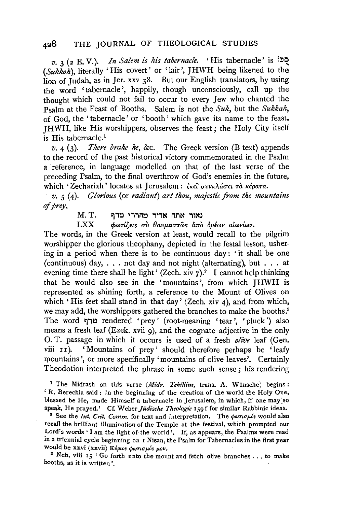$v.$  **3** (2 E. V.). *In Salem is his tabernacle.* 'His tabernacle' is  $i$ <sup>1</sup> *(Sukkoh),* literally 'His covert' or 'lair', JHWH being likened to the lion of Judah, as in Jer. xxv 38. But our English translators, by using the word 'tabernacle', happily, though unconsciously, call up the thought which could not fail to occur to every Jew who chanted the Psalm at the Feast of Booths. Salem is not the *Suk,* but the *Sukkah,*  of God, the 'tabernacle' or 'booth' which gave its name to the feast. JHWH, like His worshippers, observes the feast; the Holy City itself is His tabernacle.<sup>1</sup>

*v.* 4 (3). *There brake he,* &c. The Greek version (B text) appends to the record of the past historical victory commemorated in the Psalm a reference, in language modelled on that of the last verse of the preceding Psalm, to the final overthrow of God's enemies in the future, which 'Zechariah' locates at Jerusalem : εκεί συνκλάσει τα κέρατα.

*v. 5* (4). *Glorious* (or *radiant) art thou, majestic from the mountains*  of *prey,* 

 $M$ . I. נאור אתה אדיר מהררי טרף

**LXX** *bwrίζεις σὺ θαυμαστ***ως άπὸ ὀρέων αίωνίων.** 

The words, in the Greek version at least, would recall to the pilgrim worshipper the glorious theophany, depicted in the festal lesson, ushering in a period when there is to be continuous day: 'it shall be one (continuous) day, ... not day and not night (alternating), but ... at evening time there shall be light' (Zech. xiv  $7$ ).<sup>2</sup> I cannot help thinking that he would also see in the 'mountains', from which JHWH is represented as shining forth, a reference to the Mount of Olives on which 'His feet shall stand in that day' (Zech. xiv 4), and from which, we may add, the worshippers gathered the branches to make the booths.<sup>3</sup> The word טרף rendered 'prey' (root-meaning 'tear', 'pluck') also means a fresh leaf (Ezek. xvii 9), and the cognate adjective in the only 0. T. passage in which it occurs is used of a fresh *olive* leaf (Gen. viii II). 'Mountains of prey' should therefore perhaps be 'leafy mountains', or more specifically 'mountains of olive leaves'. Certainly Theodotion interpreted the phrase in some such sense ; his rendering

<sup>1</sup> The Midrash on this verse *(Midr. Tehillim*, trans. A. Wünsche) begins: ' R. Berechia said : In the beginning of the creation of the world the Holy One, blessed be He, made Himself a tabernacle in Jerusalem, in which, if one may so

speak, He prayed.' Cf. Weber *Judische Theologie* 159 f for similar Rabbinic ideas. 2 See the *lnt. Cn't. Comm.* for text and interpretation. The *cpwnupos* would also recall the brilliant illumination of the Temple at the festival, which prompted our Lord's words 'I am the light of the world'. If, as appears, the Psalms were read in a triennial cycle beginning on 1 Nisan, the Psalm for Tabernacles in the first year

would be xxvi (xxvii) *Κύριοs φωτισμόs μου*.<br><sup>3</sup> Neh. viii 15 'Go forth unto the mount and fetch olive branches ... to make booths, as it is written'.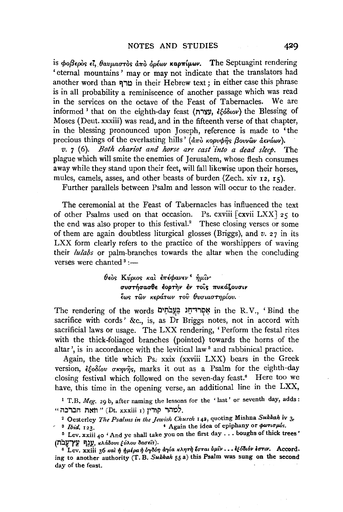is *φοβερ*ός εί, θαυμαστός άπὸ όρέων καρπίμων. The Septuagint rendering 'eternal mountains' may or may not indicate that the translators had another word than טרף in their Hebrew text ; in either case this phrase is in all probability a reminiscence of another passage which was read in the services on the octave of the Feast of Tabernacles. We are  $informed$ <sup>1</sup> that on the eighth-day feast (עצרה, ¿¿¿ $\delta\omega$ ) the Blessing of Moses ( Deut. xxxiii) was read, and in the fifteenth verse of that chapter, in the blessing pronounced upon Joseph, reference is made to 'the precious things of the everlasting hills' *(* $\frac{d}{dx}$ *) kopvorgie a avawv*).

*v.* 7 ( 6). *Both chariot and horse are cast 'into a dead sleep.* The plague which will smite the enemies of Jerusalem, whose flesh consumes away while they stand upon their feet, will fall likewise upon their horses, mules, camels, asses, and other beasts of burden (Zech. xiv  $12$ ,  $15$ ).

Further parallels between Psalm and lesson will occur to the reader.

The ceremonial at the Feast of Tabernacles has influenced the text other Psalms used on that occasion. Ps. cxviii  $\lceil c$ xvii  $LXX \rceil$  25 to of other Psalms used on that occasion. the end was also proper to this festival." These closing verses or some of them are again doubtless liturgical glosses (Briggs), and *v.* 27 in its LXX form clearly refers to the practice of the worshippers of waving their *lulabs* or palm-branches towards the altar when the concluding verses were chanted  $3:$ 

> 0£os *Ktipws* Ka~ *i1rlcpav£v* <sup>4</sup>~p.'iv· συστήσασθε έορτην έν τοις πυκάζουσιν  $\epsilon$ ως τῶν κεράτων τοῦ θυσιαστηρίου.

The rendering of the words I:I J:l~Y.~ ~IJ'1.,l?l::t in the R. V., ' Bind the sacrifice with cords' &c., is, as Dr Briggs notes, not in accord with sacrificial laws or usage. The LXX rendering, 'Perform the festal rites with the thick-foliaged branches (pointed) towards the horns of the altar', is in accordance with the levitical law<sup>5</sup> and rabbinical practice.

Again, the title which Ps. xxix (xxviii LXX) bears in the Greek version, εξοδίου σκηνής, marks it out as a Psalm for the eighth-day closing festival which followed on the seven-day feast.• Here too we have, this time in the opening verse, an additional line in the LXX,

<sup>1</sup> T.B. *Meg.* 29 b, after naming the lessons for the 'last' or seventh day, adds:  $\cdot$ י מהר קורין (Dt. xxxiii I) למהר קורין.

<sup>2</sup> Oesterley *The Psalms in the Jewish Church* 142, quoting Mishna Sukkah iv 3<sub>r</sub>

<sup>8</sup> *Ibid.* 123. **•** Again the idea of epiphany or  $\phi$ *ortopis.* 

5 Lev. xxiii 40 'And ye shall take you on the first day ... boughs of thick trees' (עַבְף עֵץ־עֲבֹת waddows funco daoeis).

<sup>6</sup> Lev. xxiii 36 και ή ήμέρα ή ογδόη αγία κλητή έσται ύμιν ... εξόδιόν εστιν. According to another authority (T. B. *Sukkah* 55 a) this Psalm was sung on the second day of the feast.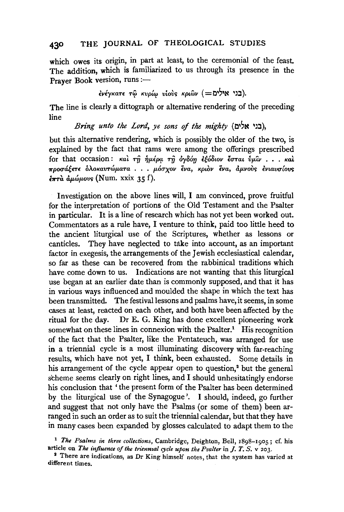## **430** THE JOURNAL OF THEOLOGICAL STUDIES

which owes its origin, in part at least, to the ceremonial of the feast. The addition, which is familiarized to us through its presence in the Prayer Book version, runs :-

 $\epsilon$ μέγκατε τω κυρίω υίους κριων (=שׁלים).

The line is clearly a dittograph or alternative rendering of the preceding line

*Bring unto the Lord, ye sons* of *the mighty* (!:li'N ~::1),

but this alternative rendering, which is possibly the older of the two, is explained by the fact that rams were among the offerings prescribed for that occasion:  $\kappa a$   $\hat{i}$   $\hat{m}$   $\hat{j}$   $\mu \hat{k}$  $\hat{\rho}$   $\alpha$   $\hat{m}$   $\hat{\theta}$   $\hat{\phi}$   $\hat{\theta}$   $\hat{\theta}$   $\hat{\theta}$   $\hat{\theta}$   $\hat{\theta}$   $\hat{\theta}$   $\hat{\theta}$   $\hat{\theta}$   $\hat{\theta}$   $\hat{\theta}$   $\hat{\theta}$   $\hat{\theta}$   $\hat{\theta}$   $\hat{\theta}$   $\hat{\theta}$   $\hat{\theta}$   $\pi$ ροσάξετε δλοκαντώματα . . . μόσχον ένα, κριδν ένα, αμνούς ενιαυσίους  $\epsilon_{\pi\tau\alpha}$   $\dot{\alpha}\mu\omega\mu\text{ovs}$  (Num. xxix 35 f).

Investigation on the above lines will, I am convinced, prove fruitful for the interpretation of portions of the Old Testament and the Psalter in particular. It is a line of research which has not yet been worked out. Commentators as a rule have, I venture to think, paid too little heed to the ancient liturgical use of the Scriptures, whether as lessons or canticles. They have neglected to take into account, as an important factor in exegesis, the arrangements of the Jewish ecclesiastical calendar, so far as these can be recovered from the rabbinical traditions which have come down to us. Indications are not wanting that this liturgical use began at an earlier date than is commonly supposed, and that it has in various ways influenced and moulded the shape in which the text has been transmitted. The festival lessons and psalms have, it seems, in some cases at least, reacted on each other, and both have been affected by the ritual for the day. Dr E. G. King has done excellent pioneering work somewhat on these lines in connexion with the Psalter.<sup>1</sup> His recognition of the fact that the Psalter, like the Pentateuch, was arranged for use in a triennial cycle is a most illuminating. discovery with far-reaching results, which have not yet, I think, been exhausted. Some details in his arrangement of the cycle appear open to question.<sup>2</sup> but the general scheme seems clearly on right lines, and I should unhesitatingly endorse his conclusion that 'the present form of the Psalter has been determined by the liturgical use of the Synagogue'. I should, indeed, go further and suggest that not only have the Psalms (or some of them) been arranged in such an order as to suit the triennial calendar, but that they have in many cases been expanded by glosses calculated to adapt them to the

<sup>1</sup>*The Psalms in three collections,* Cambridge, Deighton, Bell, 1898-1905; cf. his article on *The influence of the trienmal cycle upon the Psalter* in J. *T. S.* v 203.

<sup>2</sup> There are indications, as Dr King himself notes, that the system has varied at different times.